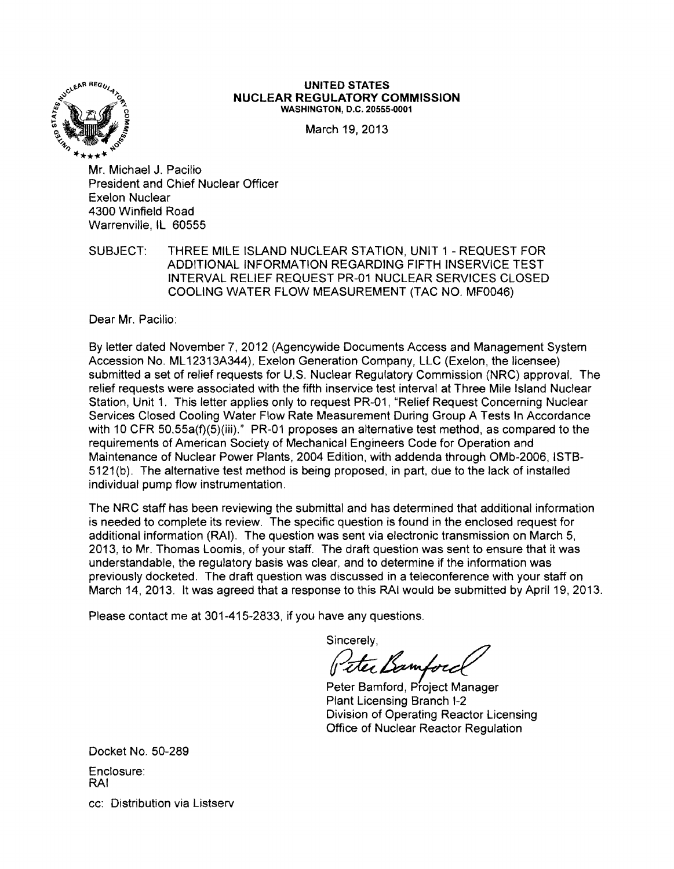

# UNITED STATES<br>
NUCLEAR REGULATORY COMMISSION<br>
"WASHINGTON, D.C. 20555-0001

March 19, 2013

\*\*\*\*"'" Mr. Michael J. Pacilio President and Chief Nuclear Officer Exelon Nuclear 4300 Winfield Road Warrenville, IL 60555

SUBJECT: THREE MILE ISLAND NUCLEAR STATION, UNIT 1 - REQUEST FOR ADDITIONAL INFORMATION REGARDING FIFTH INSERVICE TEST INTERVAL RELIEF REQUEST PR-01 NUCLEAR SERVICES CLOSED COOLING WATER FLOW MEASUREMENT (TAC NO. MF0046)

Dear Mr. Pacilio:

By letter dated November 7,2012 (Agencywide Documents Access and Management System Accession No. ML 12313A344), Exelon Generation Company, LLC (Exelon, the licensee) submitted a set of relief requests for U.S. Nuclear Regulatory Commission (NRC) approval. The relief requests were associated with the fifth inservice test interval at Three Mile Island Nuclear Station, Unit 1. This letter applies only to request PR-01, "Relief Request Concerning Nuclear Services Closed Cooling Water Flow Rate Measurement During Group A Tests In Accordance with 10 CFR 50.55a(f)(5)(iii)." PR-01 proposes an alternative test method, as compared to the requirements of American Society of Mechanical Engineers Code for Operation and Maintenance of Nuclear Power Plants, 2004 Edition, with addenda through OMb-2006, ISTB-5121(b). The alternative test method is being proposed, in part, due to the lack of installed individual pump flow instrumentation.

The NRC staff has been reviewing the submittal and has determined that additional information is needed to complete its review. The specific question is found in the enclosed request for additional information (RAI). The question was sent via electronic transmission on March 5, 2013, to Mr. Thomas Loomis, of your staff. The draft question was sent to ensure that it was understandable, the regulatory basis was clear, and to determine if the information was previously docketed. The draft question was discussed in a teleconference with your staff on March 14, 2013. It was agreed that a response to this RAI would be submitted by April 19,2013.

Please contact me at 301-415-2833, if you have any questions.

Sincerely,

Veter Bamford

Plant Licensing Branch 1-2 Division of Operating Reactor Licensing Office of Nuclear Reactor Regulation

Docket No. 50-289 Enclosure: RAI cc: Distribution via Listserv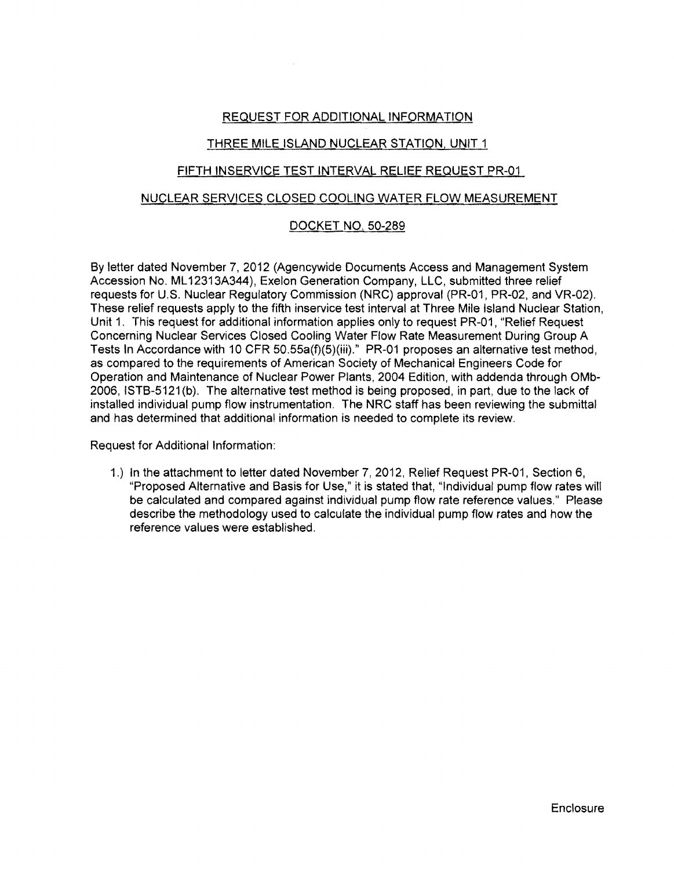## REQUEST FOR ADDITIONAL INFORMATION

## THREE MILE ISLAND NUCLEAR STATION, UNIT 1

### FIFTH INSERVICE TEST INTERVAL RELIEF REQUEST PR-01

#### NUCLEAR SERVICES CLOSED COOLING WATER FLOW MEASUREMENT

## DOCKET NO. 50-289

By letter dated November 7, 2012 (Agencywide Documents Access and Management System Accession No. ML 12313A344), Exelon Generation Company, LLC, submitted three relief requests for U.S. Nuclear Regulatory Commission (NRC) approval (PR-01, PR-02, and VR-02). These relief requests apply to the fifth inservice test interval at Three Mile Island Nuclear Station, Unit 1. This request for additional information applies only to request PR-01, "Relief Request Concerning Nuclear Services Closed Cooling Water Flow Rate Measurement During Group A Tests In Accordance with 10 CFR 50.55a(f)(5)(iii)." PR-01 proposes an alternative test method, as compared to the requirements of American Society of Mechanical Engineers Code for Operation and Maintenance of Nuclear Power Plants, 2004 Edition, with addenda through OMb-2006, ISTB-5121 (b). The alternative test method is being proposed, in part, due to the lack of installed individual pump flow instrumentation. The NRC staff has been reviewing the submittal and has determined that additional information is needed to complete its review.

Request for Additional Information:

1.) In the attachment to letter dated November 7,2012, Relief Request PR-01, Section 6, "Proposed Alternative and Basis for Use," it is stated that, "Individual pump flow rates will be calculated and compared against individual pump flow rate reference values." Please describe the methodology used to calculate the individual pump flow rates and how the reference values were established.